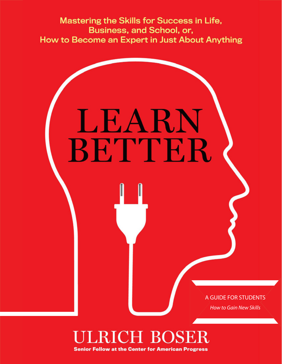**Mastering the Skills for Success in Life, Business, and School, or,** How to Become an Expert in Just About Anything



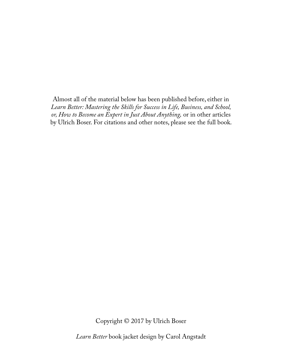Almost all of the material below has been published before, either in *Learn Better: Mastering the Skills for Success in Life, Business, and School, or, How to Become an Expert in Just About Anything,* or in other articles by Ulrich Boser. For citations and other notes, please see the full book.

Copyright © 2017 by Ulrich Boser

*Learn Better* book jacket design by Carol Angstadt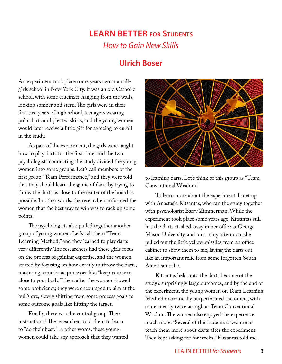# **Learn Better for Students** *How to Gain New Skills*

## **Ulrich Boser**

An experiment took place some years ago at an allgirls school in New York City. It was an old Catholic school, with some crucifixes hanging from the walls, looking somber and stern. The girls were in their first two years of high school, teenagers wearing polo shirts and pleated skirts, and the young women would later receive a little gift for agreeing to enroll in the study.

As part of the experiment, the girls were taught how to play darts for the first time, and the two psychologists conducting the study divided the young women into some groups. Let's call members of the first group "Team Performance," and they were told that they should learn the game of darts by trying to throw the darts as close to the center of the board as possible. In other words, the researchers informed the women that the best way to win was to rack up some points.

The psychologists also pulled together another group of young women. Let's call them "Team Learning Method," and they learned to play darts very differently. The researchers had these girls focus on the process of gaining expertise, and the women started by focusing on how exactly to throw the darts, mastering some basic processes like "keep your arm close to your body." Then, after the women showed some proficiency, they were encouraged to aim at the bull's eye, slowly shifting from some process goals to some outcome goals like hitting the target.

Finally, there was the control group. Their instructions? The researchers told them to learn to "do their best." In other words, these young women could take any approach that they wanted



to learning darts. Let's think of this group as "Team Conventional Wisdom."

To learn more about the experiment, I met up with Anastasia Kitsantas, who ran the study together with psychologist Barry Zimmerman. While the experiment took place some years ago, Kitsantas still has the darts stashed away in her office at George Mason University, and on a rainy afternoon, she pulled out the little yellow missiles from an office cabinet to show them to me, laying the darts out like an important relic from some forgotten South American tribe.

Kitsantas held onto the darts because of the study's surprisingly large outcomes, and by the end of the experiment, the young women on Team Learning Method dramatically outperformed the others, with scores nearly twice as high as Team Conventional Wisdom. The women also enjoyed the experience much more. "Several of the students asked me to teach them more about darts after the experiment. They kept asking me for weeks," Kitsantas told me.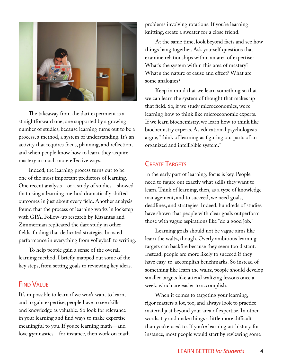

The takeaway from the dart experiment is a straightforward one, one supported by a growing number of studies, because learning turns out to be a process, a method, a system of understanding. It's an activity that requires focus, planning, and reflection, and when people know how to learn, they acquire mastery in much more effective ways.

Indeed, the learning process turns out to be one of the most important predictors of learning. One recent analysis—or a study of studies—showed that using a learning method dramatically shifted outcomes in just about every field. Another analysis found that the process of learning works in lockstep with GPA. Follow-up research by Kitsantas and Zimmerman replicated the dart study in other fields, finding that dedicated strategies boosted performance in everything from volleyball to writing.

To help people gain a sense of the overall learning method, I briefly mapped out some of the key steps, from setting goals to reviewing key ideas.

#### **FIND VALUE**

It's impossible to learn if we won't want to learn, and to gain expertise, people have to see skills and knowledge as valuable. So look for relevance in your learning and find ways to make expertise meaningful to you. If you're learning math—and love gymnastics—for instance, then work on math problems involving rotations. If you're learning knitting, create a sweater for a close friend.

At the same time, look beyond facts and see how things hang together. Ask yourself questions that examine relationships within an area of expertise: What's the system within this area of mastery? What's the nature of cause and effect? What are some analogies?

Keep in mind that we learn something so that we can learn the system of thought that makes up that field. So, if we study microeconomics, we're learning how to think like microeconomic experts. If we learn biochemistry, we learn how to think like biochemistry experts. As educational psychologists argue, "think of learning as figuring out parts of an organized and intelligible system."

### **CREATE TARGETS**

In the early part of learning, focus is key. People need to figure out exactly what skills they want to learn. Think of learning, then, as a type of knowledge management, and to succeed, we need goals, deadlines, and strategies. Indeed, hundreds of studies have shown that people with clear goals outperform those with vague aspirations like "do a good job."

Learning goals should not be vague aims like learn the waltz, though. Overly ambitious learning targets can backfire because they seem too distant. Instead, people are more likely to succeed if they have easy-to-accomplish benchmarks. So instead of something like learn the waltz, people should develop smaller targets like attend waltzing lessons once a week, which are easier to accomplish.

When it comes to targeting your learning, rigor matters a lot, too, and always look to practice material just beyond your area of expertise. In other words, try and make things a little more difficult than you're used to. If you're learning art history, for instance, most people would start by reviewing some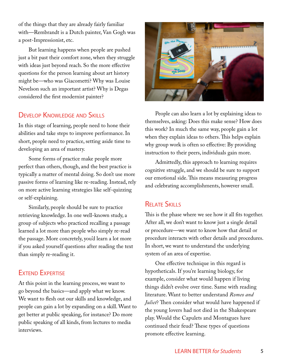of the things that they are already fairly familiar with—Rembrandt is a Dutch painter, Van Gogh was a post-Impressionist, etc.

But learning happens when people are pushed just a bit past their comfort zone, when they struggle with ideas just beyond reach. So the more effective questions for the person learning about art history might be—who was Giacometti? Why was Louise Nevelson such an important artist? Why is Degas considered the first modernist painter?

## DEVELOP KNOWLEDGE AND SKILLS

In this stage of learning, people need to hone their abilities and take steps to improve performance. In short, people need to practice, setting aside time to developing an area of mastery.

Some forms of practice make people more perfect than others, though, and the best practice is typically a matter of mental doing. So don't use more passive forms of learning like re-reading. Instead, rely on more active learning strategies like self-quizzing or self-explaining.

Similarly, people should be sure to practice retrieving knowledge. In one well-known study, a group of subjects who practiced recalling a passage learned a lot more than people who simply re-read the passage. More concretely, you'd learn a lot more if you asked yourself questions after reading the text than simply re-reading it.

## **EXTEND EXPERTISE**

At this point in the learning process, we want to go beyond the basics—and apply what we know. We want to flesh out our skills and knowledge, and people can gain a lot by expanding on a skill. Want to get better at public speaking, for instance? Do more public speaking of all kinds, from lectures to media interviews.



People can also learn a lot by explaining ideas to themselves, asking: Does this make sense? How does this work? In much the same way, people gain a lot when they explain ideas to others. This helps explain why group work is often so effective: By providing instruction to their peers, individuals gain more.

Admittedly, this approach to learning requires cognitive struggle, and we should be sure to support our emotional side. This means measuring progress and celebrating accomplishments, however small.

### Relate Skills

This is the phase where we see how it all fits together. After all, we don't want to know just a single detail or procedure—we want to know how that detail or procedure interacts with other details and procedures. In short, we want to understand the underlying system of an area of expertise.

One effective technique in this regard is hypotheticals. If you're learning biology, for example, consider what would happen if living things didn't evolve over time. Same with reading literature. Want to better understand *Romeo and Juliet*? Then consider what would have happened if the young lovers had not died in the Shakespeare play. Would the Capulets and Montagues have continued their feud? These types of questions promote effective learning.